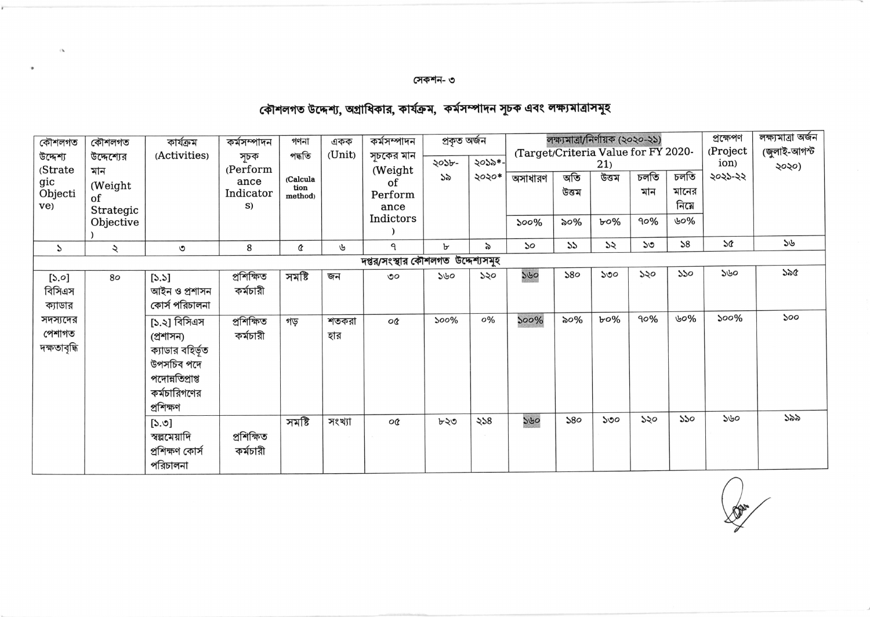## সেকশন- ৩

 $\partial \mathbf{A}$ 

## কৌশলগত উদ্দেশ্য, অগ্রাধিকার, কার্যক্রম, কর্মসম্পাদন সূচক এবং লক্ষ্যমাত্রাসমূহ

| কৌশলগত                            | কৌশলগত       | কাৰ্যক্ৰম        | কৰ্মসম্পাদন     | গণনা             | একক    | কৰ্মসম্পাদন       | প্ৰকৃত অৰ্জন |          |                                     |       | লক্ষ্যমাত্রা/নির্ণায়ক (২০২০-২১) | প্ৰক্ষেপণ | লক্ষ্যমাত্ৰা অৰ্জন |                 |              |
|-----------------------------------|--------------|------------------|-----------------|------------------|--------|-------------------|--------------|----------|-------------------------------------|-------|----------------------------------|-----------|--------------------|-----------------|--------------|
| উদ্দেশ্য                          | উদ্দেশ্যের   | (Activities)     | সূচক            | পদ্ধতি           | (Unit) | সূচকের মান        | ২০১৮-        | ২০১৯*-   | (Target/Criteria Value for FY 2020- |       |                                  |           |                    | (Project        | (জুলাই-আগস্ট |
| (Strate                           | মান          |                  | (Perform        |                  |        | (Weight           | ১৯           | ২০২০*    |                                     | অতি   | 21)<br>উত্তম                     | চলতি      | চলতি               | ion)<br>২০২১-২২ | ২০২০)        |
| gic                               | (Weight      |                  | ance            | (Calcula<br>tion |        | of                |              |          | অসাধারণ                             | উত্তম |                                  | মান       | মানের              |                 |              |
| Objecti<br>ve)                    | of           |                  | Indicator<br>S) | method)          |        | Perform           |              |          |                                     |       |                                  |           | নিমে               |                 |              |
|                                   | Strategic    |                  |                 |                  |        | ance<br>Indictors |              |          |                                     |       |                                  |           | ৬০%                |                 |              |
|                                   | Objective    |                  |                 |                  |        |                   |              |          | 500%                                | ৯০%   | ৮০%                              | 90%       |                    |                 |              |
| $\mathcal{P}$                     | $\checkmark$ | ৩                | 8               | Q                | ৬      | ٩                 | ৮            | $\delta$ | ১০                                  | 55    | $\mathcal{Z}$                    | ১৩        | 58                 | SQ              | 36           |
| দপ্তর/সংস্থার কৌশলগত উদ্দেশ্যসমূহ |              |                  |                 |                  |        |                   |              |          |                                     |       |                                  |           |                    |                 |              |
| $[\mathcal{S}, \mathcal{O}]$      | 80           | $[5.5]$          | প্ৰশিক্ষিত      | সমষ্টি           | জন     | OQ                | 550          | ১২০      | 560                                 | 580   | ১৩০                              | ১২০       | 550                | 550             | ১৯৫          |
| বিসিএস                            |              | আইন ও প্ৰশাসন    | কৰ্মচারী        |                  |        |                   |              |          |                                     |       |                                  |           |                    |                 |              |
| ক্যাডার                           |              | কোর্স পরিচালনা   |                 |                  |        |                   |              |          |                                     |       |                                  |           |                    |                 |              |
| সদস্যদের                          |              | [১.২] বিসিএস     | প্ৰশিক্ষিত      | গড়              | শতকরা  | o¢                | 500%         | 0%       | 500%                                | ৯০%   | $b$ 0%                           | 90%       | ৬০%                | 500%            | 500          |
| পেশাগত                            |              | (প্ৰশাসন)        | কৰ্মচারী        |                  | হার    |                   |              |          |                                     |       |                                  |           |                    |                 |              |
| দক্ষতাবৃদ্ধি                      |              | ক্যাডার বহির্ভূত |                 |                  |        |                   |              |          |                                     |       |                                  |           |                    |                 |              |
|                                   |              | উপসচিব পদে       |                 |                  |        |                   |              |          |                                     |       |                                  |           |                    |                 |              |
|                                   |              | পদোন্নতিপ্ৰাপ্ত  |                 |                  |        |                   |              |          |                                     |       |                                  |           |                    |                 |              |
|                                   |              | কর্মচারিগণের     |                 |                  |        |                   |              |          |                                     |       |                                  |           |                    |                 |              |
|                                   |              | প্ৰশিক্ষণ        |                 |                  |        |                   |              |          |                                     |       |                                  |           |                    |                 |              |
|                                   |              | [5.9]            |                 | সমষ্টি           | সংখ্যা | o¢                | ৮২৩          | 328      | 560                                 | 580   | 500                              | ১২০       | 550                | ১৬০             | ১৯৯          |
|                                   |              | স্বল্পমোদি       | প্ৰশিক্ষিত      |                  |        |                   |              |          |                                     |       |                                  |           |                    |                 |              |
|                                   |              | প্ৰশিক্ষণ কোৰ্স  | কৰ্মচারী        |                  |        |                   |              |          |                                     |       |                                  |           |                    |                 |              |
|                                   |              | পরিচালনা         |                 |                  |        |                   |              |          |                                     |       |                                  |           |                    |                 |              |